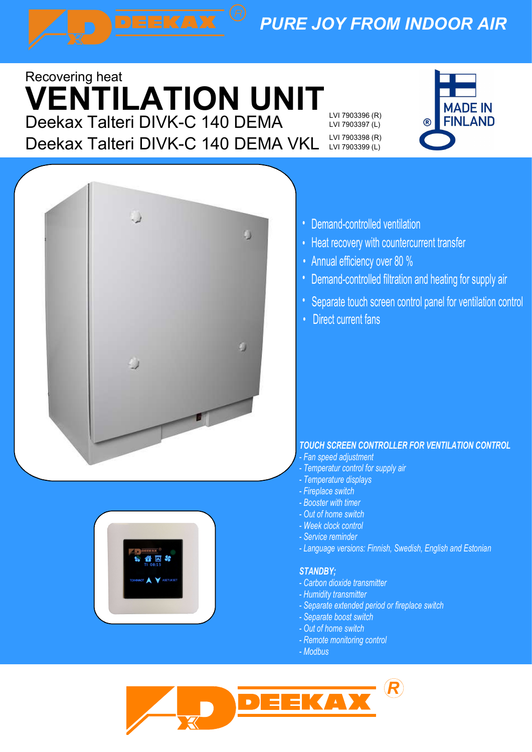# PURE JOY FROM INDOOR AIR

## Deekax Talteri DIVK-C 140 DEMA EVI 7903396 (R) 6 FINLAND • Deekax Talteri DIVK-C 140 DEMA VKL Recovering heat VENTILATION UNIT

Lämmöntalteenottava

LVI 7903397 (L) LVI 7903398 (R) LVI 7903399 (L)







- Demand-controlled ventilation
- Heat recovery with counte • Demand-controlled ventilation<br>• Heat recovery with countercurrent transfer<br>• Annual efficiency over 80 % Heat recovery with countercurrent transfer
- Annual efficiency over 80 %
- Demand-controlled filtration and heating for supply air
- Separate touch screen control panel for ventilation control
- Direct current fans

### TOUCH SCREEN CONTROLLER FOR VENTILATION CONTROL

- Fan speed adjustment
- Temperatur control for supply air
- Temperature displays
- Fireplace switch
- Booster with timer - Out of home switch
- Week clock control
- Service reminder
- Language versions: Finnish, Swedish, English and Estonian

### STANDBY;

- Carbon dioxide transmitter
- Humidity transmitter
- Separate extended period or fireplace switch
- Separate boost switch
- Out of home switch
- Remote monitoring control
- Modbus